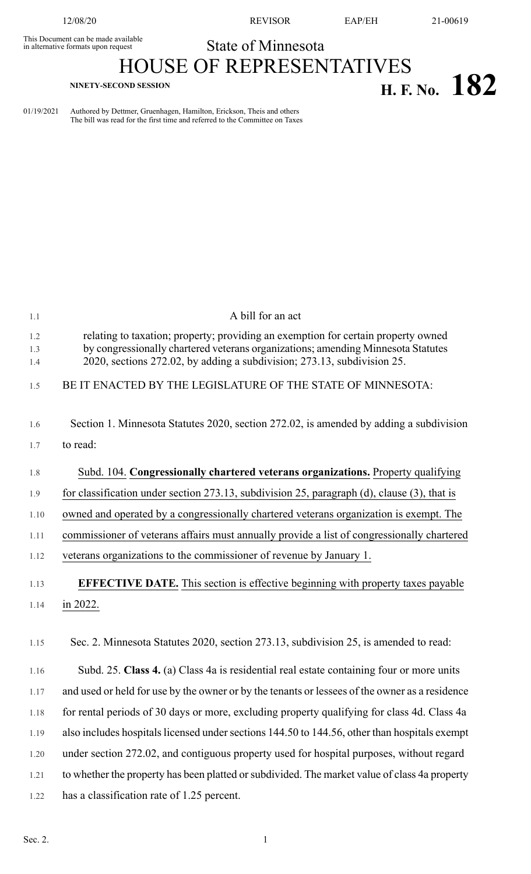This Document can be made available<br>in alternative formats upon request

12/08/20 REVISOR EAP/EH 21-00619

## State of Minnesota HOUSE OF REPRESENTATIVES

## **H. F. NO. 182**

01/19/2021 Authored by Dettmer, Gruenhagen, Hamilton, Erickson, Theis and others The bill was read for the first time and referred to the Committee on Taxes

| 1.1               | A bill for an act                                                                                                                                                                                                                                |
|-------------------|--------------------------------------------------------------------------------------------------------------------------------------------------------------------------------------------------------------------------------------------------|
| 1.2<br>1.3<br>1.4 | relating to taxation; property; providing an exemption for certain property owned<br>by congressionally chartered veterans organizations; amending Minnesota Statutes<br>2020, sections 272.02, by adding a subdivision; 273.13, subdivision 25. |
| 1.5               | BE IT ENACTED BY THE LEGISLATURE OF THE STATE OF MINNESOTA:                                                                                                                                                                                      |
| 1.6               | Section 1. Minnesota Statutes 2020, section 272.02, is amended by adding a subdivision                                                                                                                                                           |
| 1.7               | to read:                                                                                                                                                                                                                                         |
| 1.8               | Subd. 104. Congressionally chartered veterans organizations. Property qualifying                                                                                                                                                                 |
| 1.9               | for classification under section 273.13, subdivision 25, paragraph (d), clause (3), that is                                                                                                                                                      |
| 1.10              | owned and operated by a congressionally chartered veterans organization is exempt. The                                                                                                                                                           |
| 1.11              | commissioner of veterans affairs must annually provide a list of congressionally chartered                                                                                                                                                       |
| 1.12              | veterans organizations to the commissioner of revenue by January 1.                                                                                                                                                                              |
| 1.13              | <b>EFFECTIVE DATE.</b> This section is effective beginning with property taxes payable                                                                                                                                                           |
| 1.14              | in 2022.                                                                                                                                                                                                                                         |
| 1.15              | Sec. 2. Minnesota Statutes 2020, section 273.13, subdivision 25, is amended to read:                                                                                                                                                             |
| 1.16              | Subd. 25. Class 4. (a) Class 4a is residential real estate containing four or more units                                                                                                                                                         |
| 1.17              | and used or held for use by the owner or by the tenants or lessees of the owner as a residence                                                                                                                                                   |
| 1.18              | for rental periods of 30 days or more, excluding property qualifying for class 4d. Class 4a                                                                                                                                                      |
| 1.19              | also includes hospitals licensed under sections 144.50 to 144.56, other than hospitals exempt                                                                                                                                                    |
| 1.20              | under section 272.02, and contiguous property used for hospital purposes, without regard                                                                                                                                                         |
| 1.21              | to whether the property has been platted or subdivided. The market value of class 4a property                                                                                                                                                    |
| 1.22              | has a classification rate of 1.25 percent.                                                                                                                                                                                                       |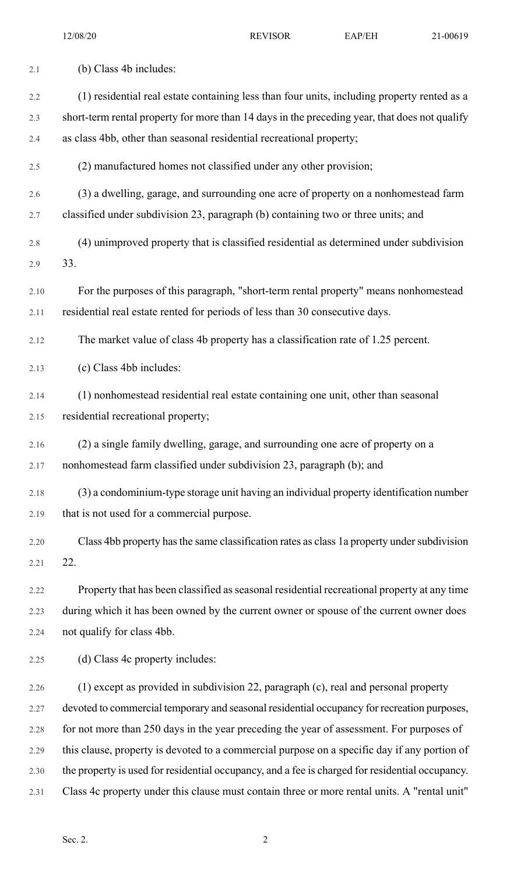| 2.1  | (b) Class 4b includes:                                                                          |
|------|-------------------------------------------------------------------------------------------------|
| 2.2  | (1) residential real estate containing less than four units, including property rented as a     |
| 2.3  | short-term rental property for more than 14 days in the preceding year, that does not qualify   |
| 2.4  | as class 4bb, other than seasonal residential recreational property;                            |
| 2.5  | (2) manufactured homes not classified under any other provision;                                |
| 2.6  | (3) a dwelling, garage, and surrounding one acre of property on a nonhomestead farm             |
| 2.7  | classified under subdivision 23, paragraph (b) containing two or three units; and               |
| 2.8  | (4) unimproved property that is classified residential as determined under subdivision          |
| 2.9  | 33.                                                                                             |
| 2.10 | For the purposes of this paragraph, "short-term rental property" means nonhomestead             |
| 2.11 | residential real estate rented for periods of less than 30 consecutive days.                    |
| 2.12 | The market value of class 4b property has a classification rate of 1.25 percent.                |
| 2.13 | (c) Class 4bb includes:                                                                         |
| 2.14 | (1) nonhomestead residential real estate containing one unit, other than seasonal               |
| 2.15 | residential recreational property;                                                              |
| 2.16 | (2) a single family dwelling, garage, and surrounding one acre of property on a                 |
| 2.17 | nonhomestead farm classified under subdivision 23, paragraph (b); and                           |
| 2.18 | (3) a condominium-type storage unit having an individual property identification number         |
| 2.19 | that is not used for a commercial purpose.                                                      |
| 2.20 | Class 4bb property has the same classification rates as class 1a property under subdivision     |
| 2.21 | 22.                                                                                             |
| 2.22 | Property that has been classified as seasonal residential recreational property at any time     |
| 2.23 | during which it has been owned by the current owner or spouse of the current owner does         |
| 2.24 | not qualify for class 4bb.                                                                      |
| 2.25 | (d) Class 4c property includes:                                                                 |
| 2.26 | (1) except as provided in subdivision 22, paragraph (c), real and personal property             |
| 2.27 | devoted to commercial temporary and seasonal residential occupancy for recreation purposes,     |
| 2.28 | for not more than 250 days in the year preceding the year of assessment. For purposes of        |
| 2.29 | this clause, property is devoted to a commercial purpose on a specific day if any portion of    |
| 2.30 | the property is used for residential occupancy, and a fee is charged for residential occupancy. |
| 2.31 | Class 4c property under this clause must contain three or more rental units. A "rental unit"    |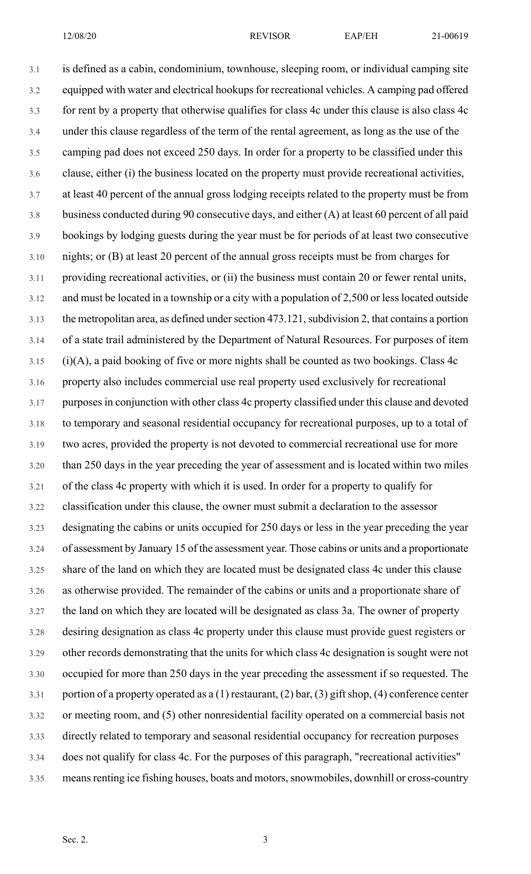12/08/20 REVISOR EAP/EH 21-00619

3.1 is defined as a cabin, condominium, townhouse, sleeping room, or individual camping site 3.2 equipped with water and electrical hookups for recreational vehicles. A camping pad offered 3.3 for rent by a property that otherwise qualifies for class 4c under this clause is also class 4c 3.4 under this clause regardless of the term of the rental agreement, as long as the use of the 3.5 camping pad does not exceed 250 days. In order for a property to be classified under this 3.6 clause, either (i) the business located on the property must provide recreational activities, 3.7 at least 40 percent of the annual gross lodging receipts related to the property must be from 3.8 business conducted during 90 consecutive days, and either (A) at least 60 percent of all paid 3.9 bookings by lodging guests during the year must be for periods of at least two consecutive 3.10 nights; or (B) at least 20 percent of the annual gross receipts must be from charges for 3.11 providing recreational activities, or (ii) the business must contain 20 or fewer rental units, 3.12 and must be located in a township or a city with a population of 2,500 or less located outside 3.13 the metropolitan area, as defined under section 473.121, subdivision 2, that contains a portion 3.14 of a state trail administered by the Department of Natural Resources. For purposes of item  $3.15$  (i)(A), a paid booking of five or more nights shall be counted as two bookings. Class 4c 3.16 property also includes commercial use real property used exclusively for recreational 3.17 purposesin conjunction with other class 4c property classified under this clause and devoted 3.18 to temporary and seasonal residential occupancy for recreational purposes, up to a total of 3.19 two acres, provided the property is not devoted to commercial recreational use for more 3.20 than 250 days in the year preceding the year of assessment and is located within two miles 3.21 of the class 4c property with which it is used. In order for a property to qualify for 3.22 classification under this clause, the owner must submit a declaration to the assessor 3.23 designating the cabins or units occupied for 250 days or less in the year preceding the year 3.24 of assessment by January 15 of the assessment year. Those cabins or units and a proportionate 3.25 share of the land on which they are located must be designated class 4c under this clause 3.26 as otherwise provided. The remainder of the cabins or units and a proportionate share of 3.27 the land on which they are located will be designated as class 3a. The owner of property 3.28 desiring designation as class 4c property under this clause must provide guest registers or 3.29 other records demonstrating that the units for which class 4c designation is sought were not 3.30 occupied for more than 250 days in the year preceding the assessment if so requested. The 3.31 portion of a property operated as a (1) restaurant, (2) bar, (3) gift shop, (4) conference center 3.32 or meeting room, and (5) other nonresidential facility operated on a commercial basis not 3.33 directly related to temporary and seasonal residential occupancy for recreation purposes 3.34 does not qualify for class 4c. For the purposes of this paragraph, "recreational activities" 3.35 means renting ice fishing houses, boats and motors, snowmobiles, downhill or cross-country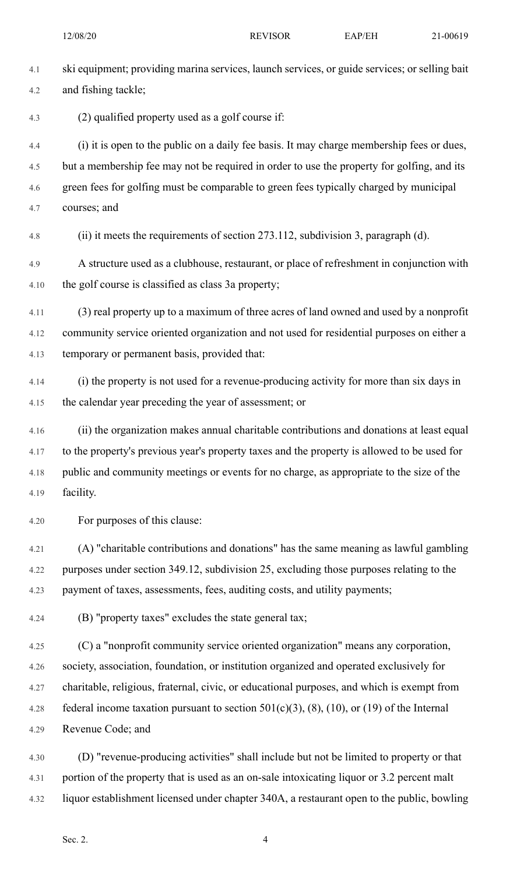| 4.1  | ski equipment; providing marina services, launch services, or guide services; or selling bait |
|------|-----------------------------------------------------------------------------------------------|
| 4.2  | and fishing tackle;                                                                           |
| 4.3  | (2) qualified property used as a golf course if:                                              |
| 4.4  | (i) it is open to the public on a daily fee basis. It may charge membership fees or dues,     |
| 4.5  | but a membership fee may not be required in order to use the property for golfing, and its    |
| 4.6  | green fees for golfing must be comparable to green fees typically charged by municipal        |
| 4.7  | courses; and                                                                                  |
| 4.8  | (ii) it meets the requirements of section 273.112, subdivision 3, paragraph (d).              |
| 4.9  | A structure used as a clubhouse, restaurant, or place of refreshment in conjunction with      |
| 4.10 | the golf course is classified as class 3a property;                                           |
| 4.11 | (3) real property up to a maximum of three acres of land owned and used by a nonprofit        |
| 4.12 | community service oriented organization and not used for residential purposes on either a     |
| 4.13 | temporary or permanent basis, provided that:                                                  |
| 4.14 | (i) the property is not used for a revenue-producing activity for more than six days in       |
| 4.15 | the calendar year preceding the year of assessment; or                                        |
| 4.16 | (ii) the organization makes annual charitable contributions and donations at least equal      |
| 4.17 | to the property's previous year's property taxes and the property is allowed to be used for   |
| 4.18 | public and community meetings or events for no charge, as appropriate to the size of the      |
| 4.19 | facility.                                                                                     |
| 4.20 | For purposes of this clause:                                                                  |
| 4.21 | (A) "charitable contributions and donations" has the same meaning as lawful gambling          |
| 4.22 | purposes under section 349.12, subdivision 25, excluding those purposes relating to the       |
| 4.23 | payment of taxes, assessments, fees, auditing costs, and utility payments;                    |
| 4.24 | (B) "property taxes" excludes the state general tax;                                          |
| 4.25 | (C) a "nonprofit community service oriented organization" means any corporation,              |
| 4.26 | society, association, foundation, or institution organized and operated exclusively for       |
| 4.27 | charitable, religious, fraternal, civic, or educational purposes, and which is exempt from    |
| 4.28 | federal income taxation pursuant to section $501(c)(3)$ , (8), (10), or (19) of the Internal  |
| 4.29 | Revenue Code; and                                                                             |
|      |                                                                                               |

4.30 (D) "revenue-producing activities" shall include but not be limited to property or that 4.31 portion of the property that is used as an on-sale intoxicating liquor or 3.2 percent malt 4.32 liquor establishment licensed under chapter 340A, a restaurant open to the public, bowling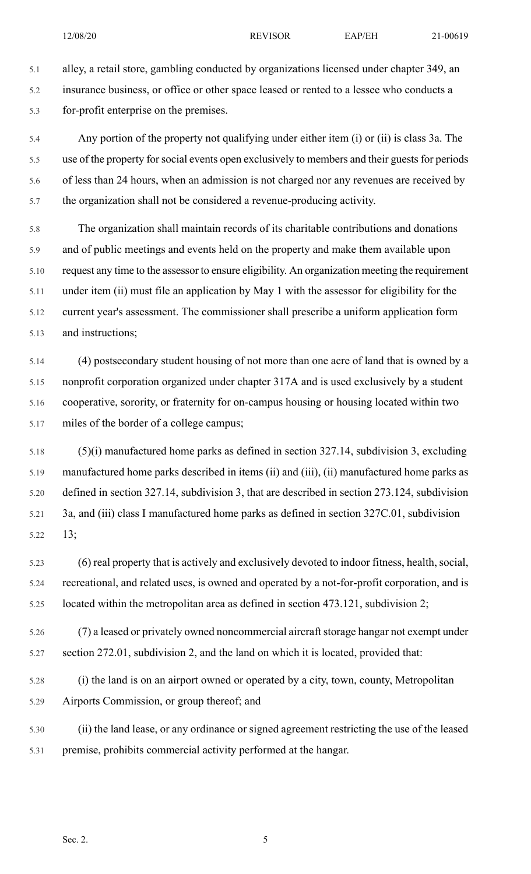5.1 alley, a retail store, gambling conducted by organizations licensed under chapter 349, an 5.2 insurance business, or office or other space leased or rented to a lessee who conducts a 5.3 for-profit enterprise on the premises.

5.4 Any portion of the property not qualifying under either item (i) or (ii) is class 3a. The 5.5 use of the property for social events open exclusively to members and their guests for periods 5.6 of less than 24 hours, when an admission is not charged nor any revenues are received by 5.7 the organization shall not be considered a revenue-producing activity.

5.8 The organization shall maintain records of its charitable contributions and donations 5.9 and of public meetings and events held on the property and make them available upon 5.10 request any time to the assessor to ensure eligibility. An organization meeting the requirement 5.11 under item (ii) must file an application by May 1 with the assessor for eligibility for the 5.12 current year's assessment. The commissioner shall prescribe a uniform application form 5.13 and instructions;

5.14 (4) postsecondary student housing of not more than one acre of land that is owned by a 5.15 nonprofit corporation organized under chapter 317A and is used exclusively by a student 5.16 cooperative, sorority, or fraternity for on-campus housing or housing located within two 5.17 miles of the border of a college campus;

5.18 (5)(i) manufactured home parks as defined in section 327.14, subdivision 3, excluding 5.19 manufactured home parks described in items (ii) and (iii), (ii) manufactured home parks as 5.20 defined in section 327.14, subdivision 3, that are described in section 273.124, subdivision 5.21 3a, and (iii) class I manufactured home parks as defined in section 327C.01, subdivision 5.22 13;

5.23 (6) real property that is actively and exclusively devoted to indoor fitness, health, social, 5.24 recreational, and related uses, is owned and operated by a not-for-profit corporation, and is 5.25 located within the metropolitan area as defined in section 473.121, subdivision 2;

5.26 (7) a leased or privately owned noncommercial aircraft storage hangar not exempt under 5.27 section 272.01, subdivision 2, and the land on which it is located, provided that:

5.28 (i) the land is on an airport owned or operated by a city, town, county, Metropolitan 5.29 Airports Commission, or group thereof; and

5.30 (ii) the land lease, or any ordinance or signed agreement restricting the use of the leased 5.31 premise, prohibits commercial activity performed at the hangar.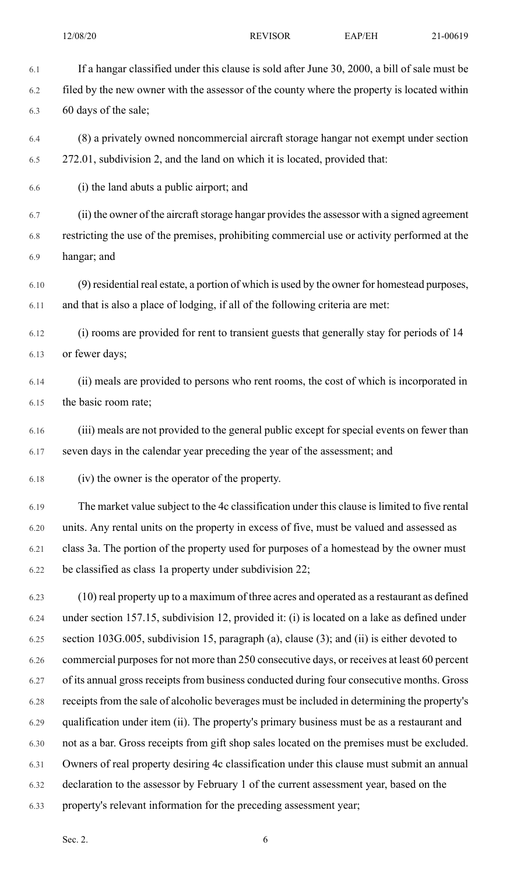6.1 If a hangar classified under this clause is sold after June 30, 2000, a bill of sale must be 6.2 filed by the new owner with the assessor of the county where the property is located within 6.3 60 days of the sale; 6.4 (8) a privately owned noncommercial aircraft storage hangar not exempt under section 6.5 272.01, subdivision 2, and the land on which it is located, provided that: 6.6 (i) the land abuts a public airport; and 6.7 (ii) the owner of the aircraft storage hangar provides the assessor with a signed agreement 6.8 restricting the use of the premises, prohibiting commercial use or activity performed at the 6.9 hangar; and 6.10 (9) residential real estate, a portion of which is used by the owner for homestead purposes, 6.11 and that is also a place of lodging, if all of the following criteria are met: 6.12 (i) rooms are provided for rent to transient guests that generally stay for periods of 14 6.13 or fewer days; 6.14 (ii) meals are provided to persons who rent rooms, the cost of which is incorporated in

6.15 the basic room rate;

6.16 (iii) meals are not provided to the general public except for special events on fewer than 6.17 seven days in the calendar year preceding the year of the assessment; and

6.18 (iv) the owner is the operator of the property.

6.19 The market value subject to the 4c classification under this clause is limited to five rental 6.20 units. Any rental units on the property in excess of five, must be valued and assessed as 6.21 class 3a. The portion of the property used for purposes of a homestead by the owner must 6.22 be classified as class 1a property under subdivision 22;

6.23 (10) real property up to a maximum of three acres and operated as a restaurant as defined 6.24 under section 157.15, subdivision 12, provided it: (i) is located on a lake as defined under 6.25 section 103G.005, subdivision 15, paragraph (a), clause (3); and (ii) is either devoted to 6.26 commercial purposes for not more than 250 consecutive days, or receives at least 60 percent 6.27 of its annual gross receipts from business conducted during four consecutive months. Gross 6.28 receipts from the sale of alcoholic beverages must be included in determining the property's 6.29 qualification under item (ii). The property's primary business must be as a restaurant and 6.30 not as a bar. Gross receipts from gift shop sales located on the premises must be excluded. 6.31 Owners of real property desiring 4c classification under this clause must submit an annual 6.32 declaration to the assessor by February 1 of the current assessment year, based on the 6.33 property's relevant information for the preceding assessment year;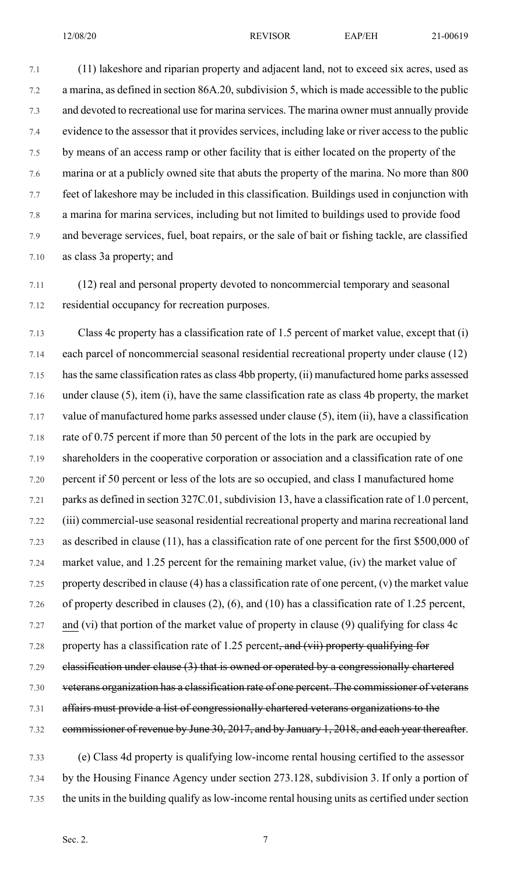7.5 by means of an access ramp or other facility that is either located on the property of the 7.6 marina or at a publicly owned site that abuts the property of the marina. No more than 800 7.7 feet of lakeshore may be included in this classification. Buildings used in conjunction with 7.8 a marina for marina services, including but not limited to buildings used to provide food 7.9 and beverage services, fuel, boat repairs, or the sale of bait or fishing tackle, are classified 7.10 as class 3a property; and

7.11 (12) real and personal property devoted to noncommercial temporary and seasonal 7.12 residential occupancy for recreation purposes.

7.13 Class 4c property has a classification rate of 1.5 percent of market value, except that (i) 7.14 each parcel of noncommercial seasonal residential recreational property under clause (12) 7.15 hasthe same classification rates as class 4bb property, (ii) manufactured home parks assessed 7.16 under clause (5), item (i), have the same classification rate as class 4b property, the market 7.17 value of manufactured home parks assessed under clause (5), item (ii), have a classification 7.18 rate of 0.75 percent if more than 50 percent of the lots in the park are occupied by 7.19 shareholders in the cooperative corporation or association and a classification rate of one 7.20 percent if 50 percent or less of the lots are so occupied, and class I manufactured home 7.21 parks as defined in section 327C.01, subdivision 13, have a classification rate of 1.0 percent, 7.22 (iii) commercial-use seasonal residential recreational property and marina recreational land 7.23 as described in clause (11), has a classification rate of one percent for the first \$500,000 of 7.24 market value, and 1.25 percent for the remaining market value, (iv) the market value of 7.25 property described in clause (4) has a classification rate of one percent, (v) the market value 7.26 of property described in clauses (2), (6), and (10) has a classification rate of 1.25 percent, 7.27 and (vi) that portion of the market value of property in clause (9) qualifying for class 4c 7.28 property has a classification rate of 1.25 percent, and  $(vii)$  property qualifying for 7.29 classification under clause (3) that is owned or operated by a congressionally chartered 7.30 veterans organization has a classification rate of one percent. The commissioner of veterans 7.31 affairs must provide a list of congressionally chartered veterans organizations to the 7.32 commissioner of revenue by June 30, 2017, and by January 1, 2018, and each year thereafter.

7.33 (e) Class 4d property is qualifying low-income rental housing certified to the assessor 7.34 by the Housing Finance Agency under section 273.128, subdivision 3. If only a portion of 7.35 the units in the building qualify as low-income rental housing units as certified under section